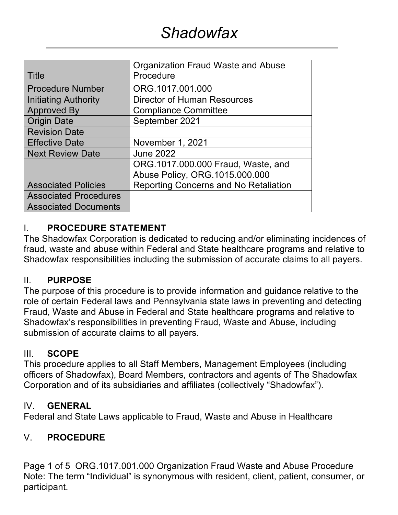|                              | Organization Fraud Waste and Abuse    |
|------------------------------|---------------------------------------|
| <b>Title</b>                 | Procedure                             |
| <b>Procedure Number</b>      | ORG.1017.001.000                      |
| Initiating Authority         | Director of Human Resources           |
| <b>Approved By</b>           | <b>Compliance Committee</b>           |
| <b>Origin Date</b>           | September 2021                        |
| <b>Revision Date</b>         |                                       |
| <b>Effective Date</b>        | November 1, 2021                      |
| <b>Next Review Date</b>      | <b>June 2022</b>                      |
|                              | ORG.1017.000.000 Fraud, Waste, and    |
|                              | Abuse Policy, ORG.1015.000.000        |
| <b>Associated Policies</b>   | Reporting Concerns and No Retaliation |
| <b>Associated Procedures</b> |                                       |
| <b>Associated Documents</b>  |                                       |

# I. **PROCEDURE STATEMENT**

The Shadowfax Corporation is dedicated to reducing and/or eliminating incidences of fraud, waste and abuse within Federal and State healthcare programs and relative to Shadowfax responsibilities including the submission of accurate claims to all payers.

## II. **PURPOSE**

The purpose of this procedure is to provide information and guidance relative to the role of certain Federal laws and Pennsylvania state laws in preventing and detecting Fraud, Waste and Abuse in Federal and State healthcare programs and relative to Shadowfax's responsibilities in preventing Fraud, Waste and Abuse, including submission of accurate claims to all payers.

## III. **SCOPE**

This procedure applies to all Staff Members, Management Employees (including officers of Shadowfax), Board Members, contractors and agents of The Shadowfax Corporation and of its subsidiaries and affiliates (collectively "Shadowfax").

## IV. **GENERAL**

Federal and State Laws applicable to Fraud, Waste and Abuse in Healthcare

# V. **PROCEDURE**

Page 1 of 5 ORG.1017.001.000 Organization Fraud Waste and Abuse Procedure Note: The term "Individual" is synonymous with resident, client, patient, consumer, or participant.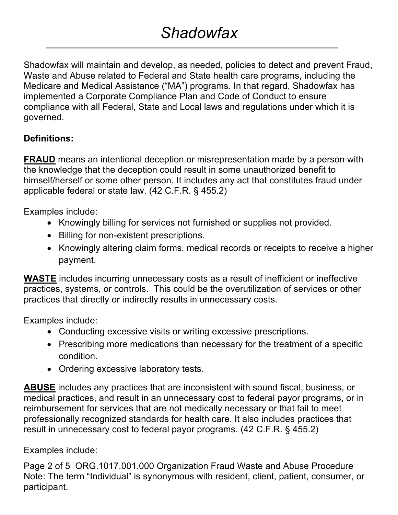# *Shadowfax*

Shadowfax will maintain and develop, as needed, policies to detect and prevent Fraud, Waste and Abuse related to Federal and State health care programs, including the Medicare and Medical Assistance ("MA") programs. In that regard, Shadowfax has implemented a Corporate Compliance Plan and Code of Conduct to ensure compliance with all Federal, State and Local laws and regulations under which it is governed.

# **Definitions:**

**FRAUD** means an intentional deception or misrepresentation made by a person with the knowledge that the deception could result in some unauthorized benefit to himself/herself or some other person. It includes any act that constitutes fraud under applicable federal or state law. (42 C.F.R. § 455.2)

Examples include:

- Knowingly billing for services not furnished or supplies not provided.
- Billing for non-existent prescriptions.
- Knowingly altering claim forms, medical records or receipts to receive a higher payment.

**WASTE** includes incurring unnecessary costs as a result of inefficient or ineffective practices, systems, or controls. This could be the overutilization of services or other practices that directly or indirectly results in unnecessary costs.

Examples include:

- Conducting excessive visits or writing excessive prescriptions.
- Prescribing more medications than necessary for the treatment of a specific condition.
- Ordering excessive laboratory tests.

**ABUSE** includes any practices that are inconsistent with sound fiscal, business, or medical practices, and result in an unnecessary cost to federal payor programs, or in reimbursement for services that are not medically necessary or that fail to meet professionally recognized standards for health care. It also includes practices that result in unnecessary cost to federal payor programs. (42 C.F.R. § 455.2)

Examples include:

Page 2 of 5 ORG.1017.001.000 Organization Fraud Waste and Abuse Procedure Note: The term "Individual" is synonymous with resident, client, patient, consumer, or participant.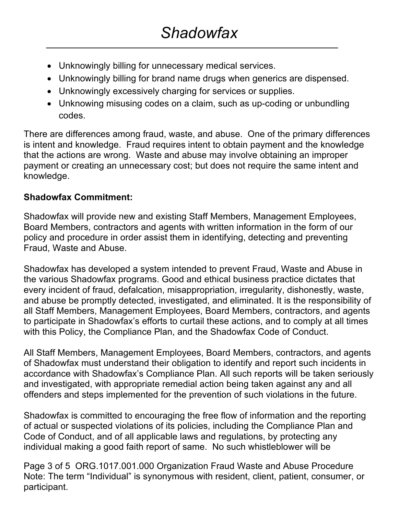- Unknowingly billing for unnecessary medical services.
- Unknowingly billing for brand name drugs when generics are dispensed.
- Unknowingly excessively charging for services or supplies.
- Unknowing misusing codes on a claim, such as up-coding or unbundling codes.

There are differences among fraud, waste, and abuse. One of the primary differences is intent and knowledge. Fraud requires intent to obtain payment and the knowledge that the actions are wrong. Waste and abuse may involve obtaining an improper payment or creating an unnecessary cost; but does not require the same intent and knowledge.

# **Shadowfax Commitment:**

Shadowfax will provide new and existing Staff Members, Management Employees, Board Members, contractors and agents with written information in the form of our policy and procedure in order assist them in identifying, detecting and preventing Fraud, Waste and Abuse.

Shadowfax has developed a system intended to prevent Fraud, Waste and Abuse in the various Shadowfax programs. Good and ethical business practice dictates that every incident of fraud, defalcation, misappropriation, irregularity, dishonestly, waste, and abuse be promptly detected, investigated, and eliminated. It is the responsibility of all Staff Members, Management Employees, Board Members, contractors, and agents to participate in Shadowfax's efforts to curtail these actions, and to comply at all times with this Policy, the Compliance Plan, and the Shadowfax Code of Conduct.

All Staff Members, Management Employees, Board Members, contractors, and agents of Shadowfax must understand their obligation to identify and report such incidents in accordance with Shadowfax's Compliance Plan. All such reports will be taken seriously and investigated, with appropriate remedial action being taken against any and all offenders and steps implemented for the prevention of such violations in the future.

Shadowfax is committed to encouraging the free flow of information and the reporting of actual or suspected violations of its policies, including the Compliance Plan and Code of Conduct, and of all applicable laws and regulations, by protecting any individual making a good faith report of same. No such whistleblower will be

Page 3 of 5 ORG.1017.001.000 Organization Fraud Waste and Abuse Procedure Note: The term "Individual" is synonymous with resident, client, patient, consumer, or participant.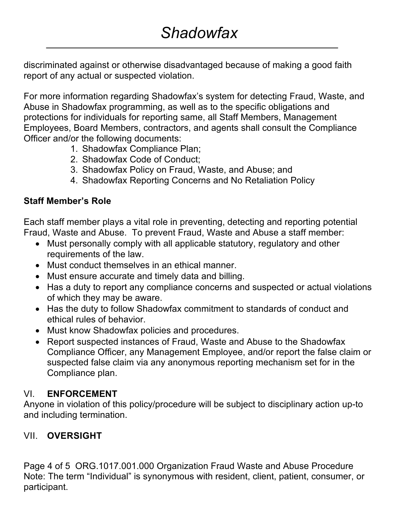discriminated against or otherwise disadvantaged because of making a good faith report of any actual or suspected violation.

For more information regarding Shadowfax's system for detecting Fraud, Waste, and Abuse in Shadowfax programming, as well as to the specific obligations and protections for individuals for reporting same, all Staff Members, Management Employees, Board Members, contractors, and agents shall consult the Compliance Officer and/or the following documents:

- 1. Shadowfax Compliance Plan;
- 2. Shadowfax Code of Conduct;
- 3. Shadowfax Policy on Fraud, Waste, and Abuse; and
- 4. Shadowfax Reporting Concerns and No Retaliation Policy

## **Staff Member's Role**

Each staff member plays a vital role in preventing, detecting and reporting potential Fraud, Waste and Abuse. To prevent Fraud, Waste and Abuse a staff member:

- Must personally comply with all applicable statutory, regulatory and other requirements of the law.
- Must conduct themselves in an ethical manner.
- Must ensure accurate and timely data and billing.
- Has a duty to report any compliance concerns and suspected or actual violations of which they may be aware.
- Has the duty to follow Shadowfax commitment to standards of conduct and ethical rules of behavior.
- Must know Shadowfax policies and procedures.
- Report suspected instances of Fraud, Waste and Abuse to the Shadowfax Compliance Officer, any Management Employee, and/or report the false claim or suspected false claim via any anonymous reporting mechanism set for in the Compliance plan.

# VI. **ENFORCEMENT**

Anyone in violation of this policy/procedure will be subject to disciplinary action up-to and including termination.

# VII. **OVERSIGHT**

Page 4 of 5 ORG.1017.001.000 Organization Fraud Waste and Abuse Procedure Note: The term "Individual" is synonymous with resident, client, patient, consumer, or participant.